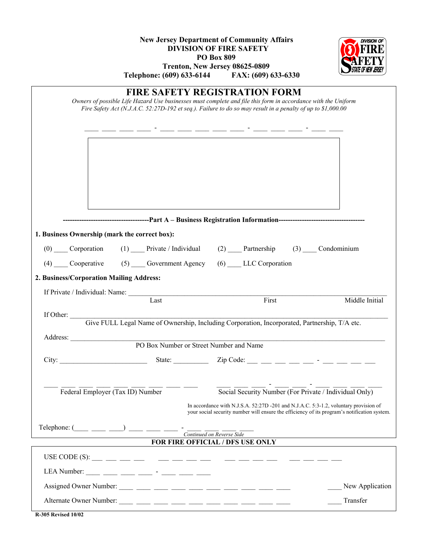| <b>New Jersey Department of Community Affairs</b><br><b>DIVISION OF FIRE SAFETY</b><br><b>PO Box 809</b><br>Trenton, New Jersey 08625-0809<br>Telephone: (609) 633-6144 FAX: (609) 633-6330                                                                                                                                                                         | DIVISION (      |
|---------------------------------------------------------------------------------------------------------------------------------------------------------------------------------------------------------------------------------------------------------------------------------------------------------------------------------------------------------------------|-----------------|
| <b>FIRE SAFETY REGISTRATION FORM</b><br>Owners of possible Life Hazard Use businesses must complete and file this form in accordance with the Uniform<br>Fire Safety Act (N.J.A.C. 52:27D-192 et seq.). Failure to do so may result in a penalty of up to \$1,000.00                                                                                                |                 |
| <u> 2002 - Andre Amerikaanse konstantinoplerin (h. 1878)</u>                                                                                                                                                                                                                                                                                                        |                 |
|                                                                                                                                                                                                                                                                                                                                                                     |                 |
| 1. Business Ownership (mark the correct box):                                                                                                                                                                                                                                                                                                                       |                 |
| (0) Corporation (1) Private / Individual (2) Partnership (3) Condominium                                                                                                                                                                                                                                                                                            |                 |
| (4) Cooperative (5) Government Agency (6) LLC Corporation                                                                                                                                                                                                                                                                                                           |                 |
| 2. Business/Corporation Mailing Address:                                                                                                                                                                                                                                                                                                                            |                 |
|                                                                                                                                                                                                                                                                                                                                                                     |                 |
| Last<br>First                                                                                                                                                                                                                                                                                                                                                       | Middle Initial  |
| If Other: Give FULL Legal Name of Ownership, Including Corporation, Incorporated, Partnership, T/A etc.                                                                                                                                                                                                                                                             |                 |
| Address:                                                                                                                                                                                                                                                                                                                                                            |                 |
| PO Box Number or Street Number and Name                                                                                                                                                                                                                                                                                                                             |                 |
| State: $\frac{1}{\sqrt{2\pi}}$ Zip Code: $\frac{1}{\sqrt{2\pi}}$ $\frac{1}{\sqrt{2\pi}}$ $\frac{1}{\sqrt{2\pi}}$ $\frac{1}{\sqrt{2\pi}}$ $\frac{1}{\sqrt{2\pi}}$ $\frac{1}{\sqrt{2\pi}}$ $\frac{1}{\sqrt{2\pi}}$ $\frac{1}{\sqrt{2\pi}}$ $\frac{1}{\sqrt{2\pi}}$ $\frac{1}{\sqrt{2\pi}}$ $\frac{1}{\sqrt{2\pi}}$ $\frac{1}{\sqrt{2\pi}}$ $\frac{1}{\sqrt{$<br>City: |                 |
|                                                                                                                                                                                                                                                                                                                                                                     |                 |
| $\overline{\text{Social Security Number}}$ (For Private / Individual Only)<br>Federal Employer (Tax ID) Number                                                                                                                                                                                                                                                      |                 |
| In accordance with N.J.S.A. 52:27D -201 and N.J.A.C. 5:3-1.2, voluntary provision of<br>your social security number will ensure the efficiency of its program's notification system.                                                                                                                                                                                |                 |
| Telephone: $(\_\_\_\_\_\_$ $\_\_\_\_$ $\_\_$<br>Continued on Reverse Side                                                                                                                                                                                                                                                                                           |                 |
| FOR FIRE OFFICIAL / DFS USE ONLY                                                                                                                                                                                                                                                                                                                                    |                 |
|                                                                                                                                                                                                                                                                                                                                                                     |                 |
| LEA Number: ____ ___ ___ ___ - ___ - ___ ___ ___                                                                                                                                                                                                                                                                                                                    |                 |
|                                                                                                                                                                                                                                                                                                                                                                     | New Application |
|                                                                                                                                                                                                                                                                                                                                                                     | Transfer        |
| <b>R-305 Revised 10/02</b>                                                                                                                                                                                                                                                                                                                                          |                 |